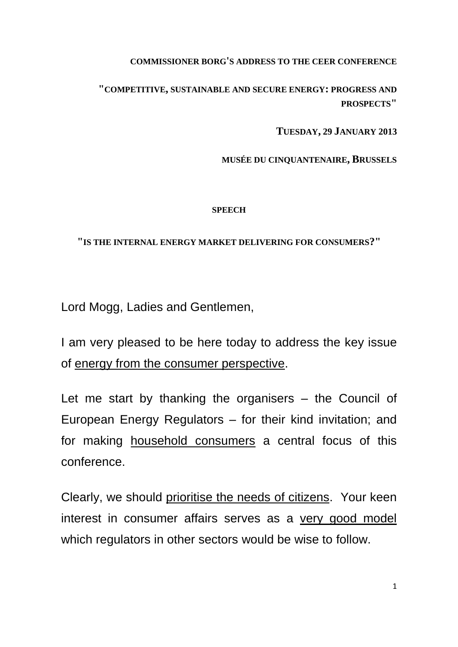## **COMMISSIONER BORG'S ADDRESS TO THE CEER CONFERENCE**

**"COMPETITIVE, SUSTAINABLE AND SECURE ENERGY: PROGRESS AND PROSPECTS"**

**TUESDAY, 29 JANUARY 2013**

**MUSÉE DU CINQUANTENAIRE, BRUSSELS**

## **SPEECH**

**"IS THE INTERNAL ENERGY MARKET DELIVERING FOR CONSUMERS?"**

Lord Mogg, Ladies and Gentlemen,

I am very pleased to be here today to address the key issue of energy from the consumer perspective.

Let me start by thanking the organisers – the Council of European Energy Regulators – for their kind invitation; and for making household consumers a central focus of this conference.

Clearly, we should prioritise the needs of citizens. Your keen interest in consumer affairs serves as a very good model which regulators in other sectors would be wise to follow.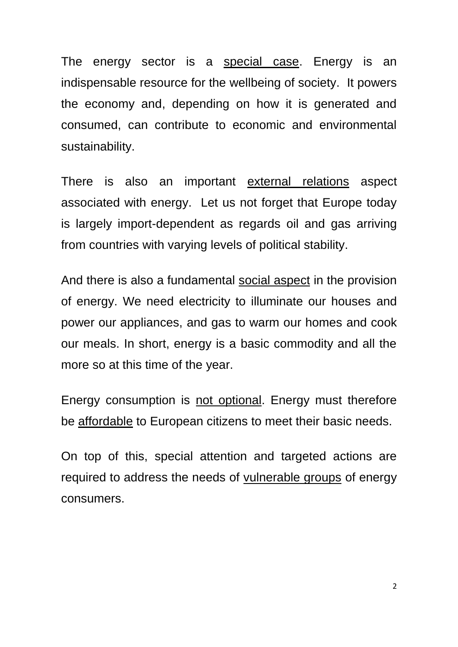The energy sector is a special case. Energy is an indispensable resource for the wellbeing of society. It powers the economy and, depending on how it is generated and consumed, can contribute to economic and environmental sustainability.

There is also an important external relations aspect associated with energy. Let us not forget that Europe today is largely import-dependent as regards oil and gas arriving from countries with varying levels of political stability.

And there is also a fundamental social aspect in the provision of energy. We need electricity to illuminate our houses and power our appliances, and gas to warm our homes and cook our meals. In short, energy is a basic commodity and all the more so at this time of the year.

Energy consumption is not optional. Energy must therefore be affordable to European citizens to meet their basic needs.

On top of this, special attention and targeted actions are required to address the needs of vulnerable groups of energy consumers.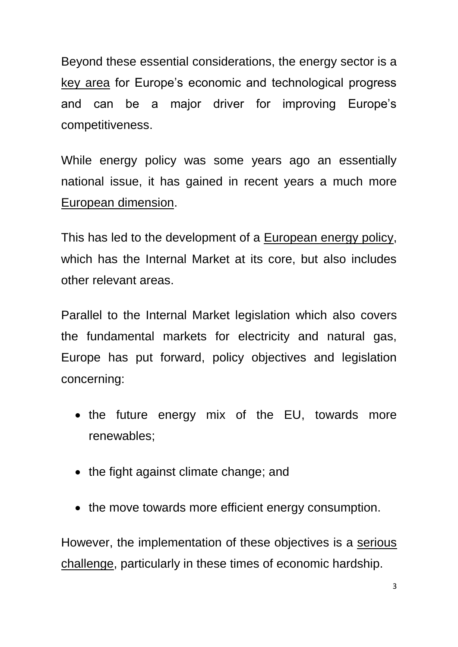Beyond these essential considerations, the energy sector is a key area for Europe's economic and technological progress and can be a major driver for improving Europe's competitiveness.

While energy policy was some years ago an essentially national issue, it has gained in recent years a much more European dimension.

This has led to the development of a European energy policy, which has the Internal Market at its core, but also includes other relevant areas.

Parallel to the Internal Market legislation which also covers the fundamental markets for electricity and natural gas, Europe has put forward, policy objectives and legislation concerning:

- the future energy mix of the EU, towards more renewables;
- the fight against climate change; and
- the move towards more efficient energy consumption.

However, the implementation of these objectives is a serious challenge, particularly in these times of economic hardship.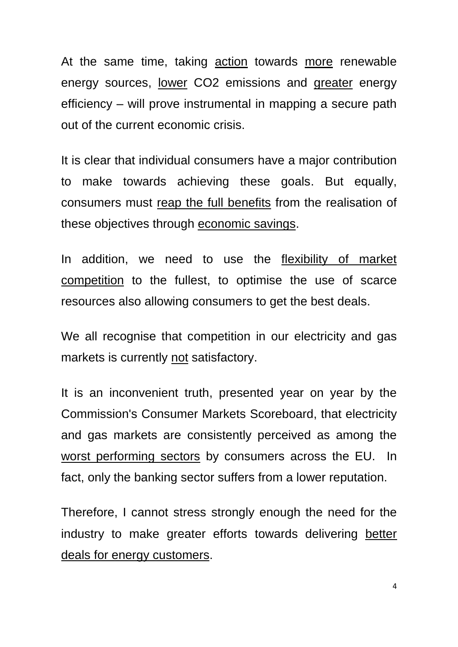At the same time, taking action towards more renewable energy sources, lower CO2 emissions and greater energy efficiency – will prove instrumental in mapping a secure path out of the current economic crisis.

It is clear that individual consumers have a major contribution to make towards achieving these goals. But equally, consumers must reap the full benefits from the realisation of these objectives through economic savings.

In addition, we need to use the flexibility of market competition to the fullest, to optimise the use of scarce resources also allowing consumers to get the best deals.

We all recognise that competition in our electricity and gas markets is currently not satisfactory.

It is an inconvenient truth, presented year on year by the Commission's Consumer Markets Scoreboard, that electricity and gas markets are consistently perceived as among the worst performing sectors by consumers across the EU. In fact, only the banking sector suffers from a lower reputation.

Therefore, I cannot stress strongly enough the need for the industry to make greater efforts towards delivering better deals for energy customers.

4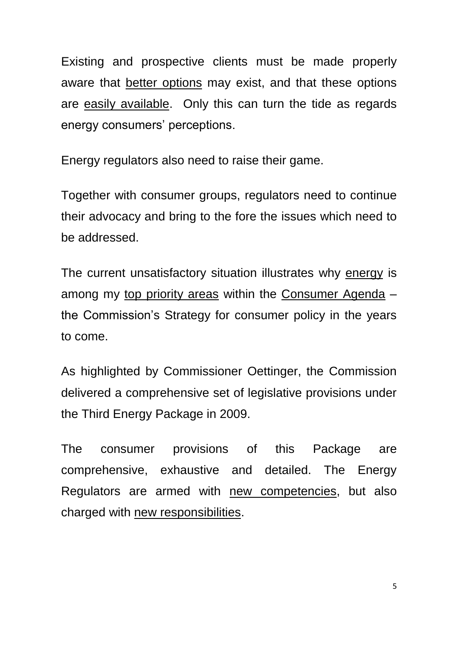Existing and prospective clients must be made properly aware that better options may exist, and that these options are easily available. Only this can turn the tide as regards energy consumers' perceptions.

Energy regulators also need to raise their game.

Together with consumer groups, regulators need to continue their advocacy and bring to the fore the issues which need to be addressed.

The current unsatisfactory situation illustrates why energy is among my top priority areas within the Consumer Agenda – the Commission's Strategy for consumer policy in the years to come.

As highlighted by Commissioner Oettinger, the Commission delivered a comprehensive set of legislative provisions under the Third Energy Package in 2009.

The consumer provisions of this Package are comprehensive, exhaustive and detailed. The Energy Regulators are armed with new competencies, but also charged with new responsibilities.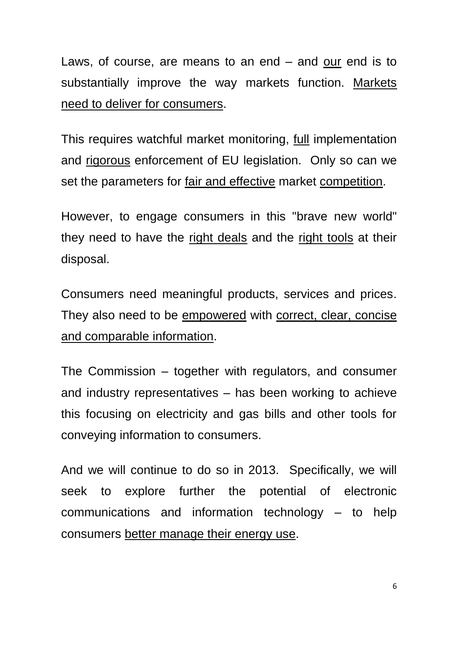Laws, of course, are means to an end – and our end is to substantially improve the way markets function. Markets need to deliver for consumers.

This requires watchful market monitoring, full implementation and rigorous enforcement of EU legislation. Only so can we set the parameters for fair and effective market competition.

However, to engage consumers in this "brave new world" they need to have the right deals and the right tools at their disposal.

Consumers need meaningful products, services and prices. They also need to be empowered with correct, clear, concise and comparable information.

The Commission – together with regulators, and consumer and industry representatives – has been working to achieve this focusing on electricity and gas bills and other tools for conveying information to consumers.

And we will continue to do so in 2013. Specifically, we will seek to explore further the potential of electronic communications and information technology – to help consumers better manage their energy use.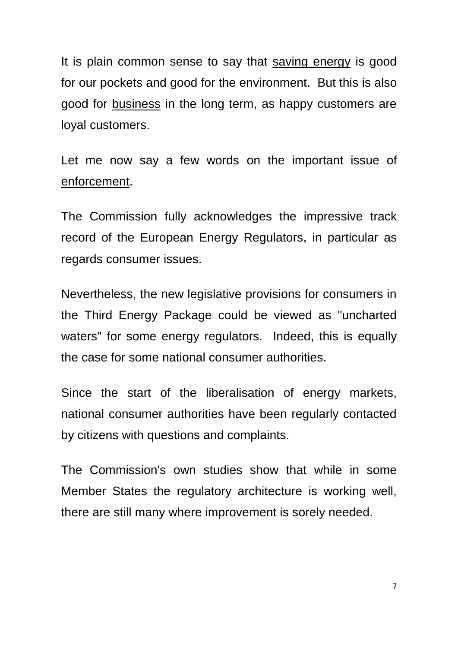It is plain common sense to say that saving energy is good for our pockets and good for the environment. But this is also good for business in the long term, as happy customers are loyal customers.

Let me now say a few words on the important issue of enforcement.

The Commission fully acknowledges the impressive track record of the European Energy Regulators, in particular as regards consumer issues.

Nevertheless, the new legislative provisions for consumers in the Third Energy Package could be viewed as "uncharted waters" for some energy regulators. Indeed, this is equally the case for some national consumer authorities.

Since the start of the liberalisation of energy markets, national consumer authorities have been regularly contacted by citizens with questions and complaints.

The Commission's own studies show that while in some Member States the regulatory architecture is working well, there are still many where improvement is sorely needed.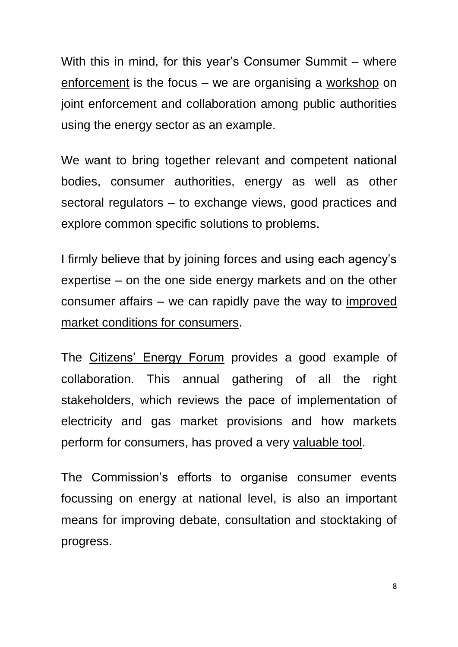With this in mind, for this year's Consumer Summit – where enforcement is the focus – we are organising a workshop on joint enforcement and collaboration among public authorities using the energy sector as an example.

We want to bring together relevant and competent national bodies, consumer authorities, energy as well as other sectoral regulators – to exchange views, good practices and explore common specific solutions to problems.

I firmly believe that by joining forces and using each agency's expertise – on the one side energy markets and on the other consumer affairs – we can rapidly pave the way to improved market conditions for consumers.

The Citizens' Energy Forum provides a good example of collaboration. This annual gathering of all the right stakeholders, which reviews the pace of implementation of electricity and gas market provisions and how markets perform for consumers, has proved a very valuable tool.

The Commission's efforts to organise consumer events focussing on energy at national level, is also an important means for improving debate, consultation and stocktaking of progress.